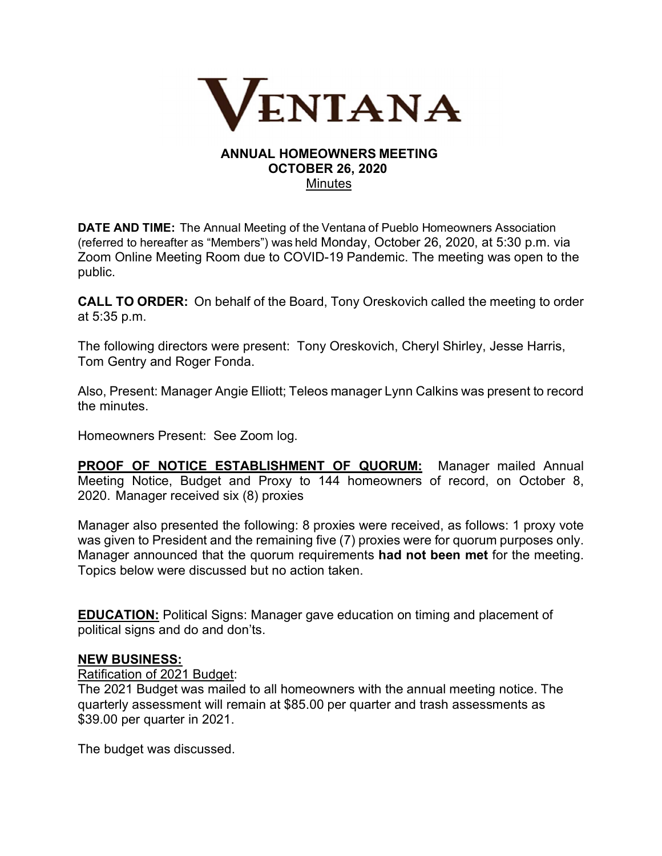

#### **ANNUAL HOMEOWNERS MEETING OCTOBER 26, 2020 Minutes**

**DATE AND TIME:**The Annual Meeting of the Ventana of Pueblo Homeowners Association (referred to hereafter as "Members") was held Monday, October 26, 2020, at 5:30 p.m. via Zoom Online Meeting Room due to COVID-19 Pandemic. The meeting was open to the public.

**CALL TO ORDER:**On behalf of the Board, Tony Oreskovich called the meeting to order at 5:35 p.m.

The following directors were present: Tony Oreskovich, Cheryl Shirley, Jesse Harris, Tom Gentry and Roger Fonda.

Also, Present: Manager Angie Elliott; Teleos manager Lynn Calkins was present to record the minutes.

Homeowners Present: See Zoom log.

**PROOF OF NOTICE ESTABLISHMENT OF QUORUM:** Manager mailed Annual Meeting Notice, Budget and Proxy to 144 homeowners of record, on October 8, 2020.  Manager received six (8) proxies 

Manager also presented the following: 8 proxies were received, as follows: 1 proxy vote was given to President and the remaining five (7) proxies were for quorum purposes only. Manager announced that the quorum requirements **had not been met** for the meeting. Topics below were discussed but no action taken.

**EDUCATION:** Political Signs: Manager gave education on timing and placement of political signs and do and don'ts.

#### **NEW BUSINESS:**

Ratification of 2021 Budget:

The 2021 Budget was mailed to all homeowners with the annual meeting notice. The quarterly assessment will remain at \$85.00 per quarter and trash assessments as \$39.00 per quarter in 2021.

The budget was discussed.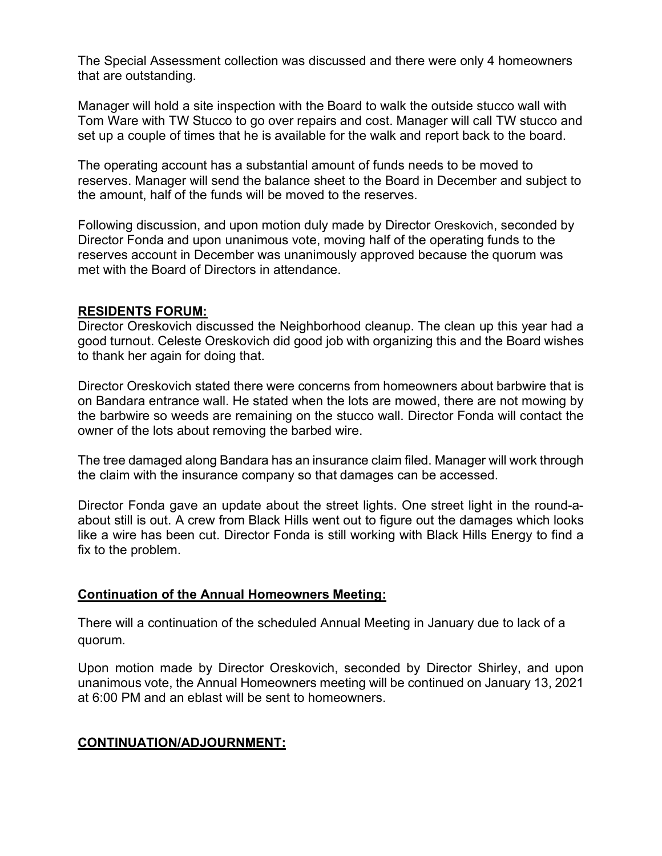The Special Assessment collection was discussed and there were only 4 homeowners that are outstanding.

Manager will hold a site inspection with the Board to walk the outside stucco wall with Tom Ware with TW Stucco to go over repairs and cost. Manager will call TW stucco and set up a couple of times that he is available for the walk and report back to the board.

The operating account has a substantial amount of funds needs to be moved to reserves. Manager will send the balance sheet to the Board in December and subject to the amount, half of the funds will be moved to the reserves.

Following discussion, and upon motion duly made by Director Oreskovich, seconded by Director Fonda and upon unanimous vote, moving half of the operating funds to the reserves account in December was unanimously approved because the quorum was met with the Board of Directors in attendance.

#### **RESIDENTS FORUM:**

Director Oreskovich discussed the Neighborhood cleanup. The clean up this year had a good turnout. Celeste Oreskovich did good job with organizing this and the Board wishes to thank her again for doing that.

Director Oreskovich stated there were concerns from homeowners about barbwire that is on Bandara entrance wall. He stated when the lots are mowed, there are not mowing by the barbwire so weeds are remaining on the stucco wall. Director Fonda will contact the owner of the lots about removing the barbed wire.

The tree damaged along Bandara has an insurance claim filed. Manager will work through the claim with the insurance company so that damages can be accessed.

Director Fonda gave an update about the street lights. One street light in the round-aabout still is out. A crew from Black Hills went out to figure out the damages which looks like a wire has been cut. Director Fonda is still working with Black Hills Energy to find a fix to the problem.

#### **Continuation of the Annual Homeowners Meeting:**

There will a continuation of the scheduled Annual Meeting in January due to lack of a quorum.

Upon motion made by Director Oreskovich, seconded by Director Shirley, and upon unanimous vote, the Annual Homeowners meeting will be continued on January 13, 2021 at 6:00 PM and an eblast will be sent to homeowners.

# **CONTINUATION/ADJOURNMENT:**